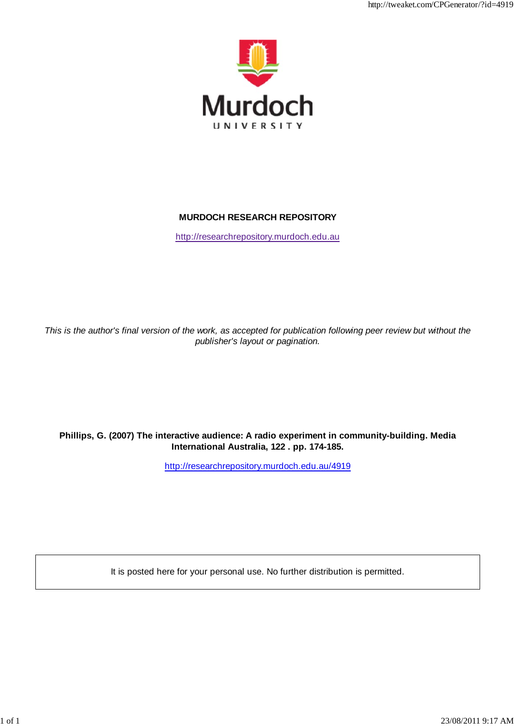

# **MURDOCH RESEARCH REPOSITORY**

http://researchrepository.murdoch.edu.au

*This is the author's final version of the work, as accepted for publication following peer review but without the publisher's layout or pagination.*

# **Phillips, G. (2007) The interactive audience: A radio experiment in community-building. Media International Australia, 122 . pp. 174-185.**

http://researchrepository.murdoch.edu.au/4919

It is posted here for your personal use. No further distribution is permitted.

http://tweaket.com/CPGenerator/2019/2019/2019/2019/2019/2019/2019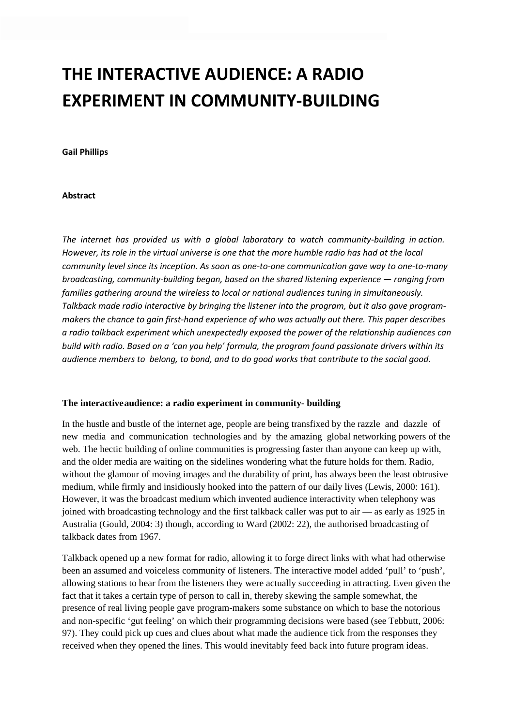# **THE INTERACTIVE AUDIENCE: A RADIO EXPERIMENT IN COMMUNITY-BUILDING**

#### **Gail Phillips**

#### **Abstract**

*The internet has provided us with a global laboratory to watch community-building in action. However, its role in the virtual universe is one that the more humble radio has had at the local community level since its inception. As soon as one-to-one communication gave way to one-to-many broadcasting, community-building began, based on the shared listening experience — ranging from families gathering around the wireless to local or national audiences tuning in simultaneously. Talkback made radio interactive by bringing the listener into the program, but it also gave programmakers the chance to gain first-hand experience of who was actually out there. This paper describes a radio talkback experiment which unexpectedly exposed the power of the relationship audiences can build with radio. Based on a 'can you help' formula, the program found passionate drivers within its audience members to belong, to bond, and to do good works that contribute to the social good.*

#### **The interactiveaudience: a radio experiment in community- building**

In the hustle and bustle of the internet age, people are being transfixed by the razzle and dazzle of new media and communication technologies and by the amazing global networking powers of the web. The hectic building of online communities is progressing faster than anyone can keep up with, and the older media are waiting on the sidelines wondering what the future holds for them. Radio, without the glamour of moving images and the durability of print, has always been the least obtrusive medium, while firmly and insidiously hooked into the pattern of our daily lives (Lewis, 2000: 161). However, it was the broadcast medium which invented audience interactivity when telephony was joined with broadcasting technology and the first talkback caller was put to air — as early as 1925 in Australia (Gould, 2004: 3) though, according to Ward (2002: 22), the authorised broadcasting of talkback dates from 1967.

Talkback opened up a new format for radio, allowing it to forge direct links with what had otherwise been an assumed and voiceless community of listeners. The interactive model added 'pull' to 'push', allowing stations to hear from the listeners they were actually succeeding in attracting. Even given the fact that it takes a certain type of person to call in, thereby skewing the sample somewhat, the presence of real living people gave program-makers some substance on which to base the notorious and non-specific 'gut feeling' on which their programming decisions were based (see Tebbutt, 2006: 97). They could pick up cues and clues about what made the audience tick from the responses they received when they opened the lines. This would inevitably feed back into future program ideas.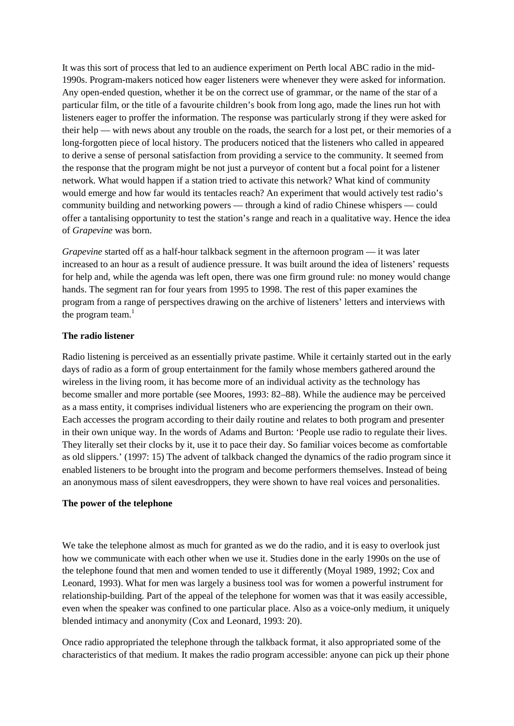It was this sort of process that led to an audience experiment on Perth local ABC radio in the mid-1990s. Program-makers noticed how eager listeners were whenever they were asked for information. Any open-ended question, whether it be on the correct use of grammar, or the name of the star of a particular film, or the title of a favourite children's book from long ago, made the lines run hot with listeners eager to proffer the information. The response was particularly strong if they were asked for their help — with news about any trouble on the roads, the search for a lost pet, or their memories of a long-forgotten piece of local history. The producers noticed that the listeners who called in appeared to derive a sense of personal satisfaction from providing a service to the community. It seemed from the response that the program might be not just a purveyor of content but a focal point for a listener network. What would happen if a station tried to activate this network? What kind of community would emerge and how far would its tentacles reach? An experiment that would actively test radio's community building and networking powers — through a kind of radio Chinese whispers — could offer a tantalising opportunity to test the station's range and reach in a qualitative way. Hence the idea of *Grapevine* was born.

*Grapevine* started off as a half-hour talkback segment in the afternoon program — it was later increased to an hour as a result of audience pressure. It was built around the idea of listeners' requests for help and, while the agenda was left open, there was one firm ground rule: no money would change hands. The segment ran for four years from 1995 to 1998. The rest of this paper examines the program from a range of perspectives drawing on the archive of listeners' letters and interviews with the program team. $<sup>1</sup>$ </sup>

## **The radio listener**

Radio listening is perceived as an essentially private pastime. While it certainly started out in the early days of radio as a form of group entertainment for the family whose members gathered around the wireless in the living room, it has become more of an individual activity as the technology has become smaller and more portable (see Moores, 1993: 82–88). While the audience may be perceived as a mass entity, it comprises individual listeners who are experiencing the program on their own. Each accesses the program according to their daily routine and relates to both program and presenter in their own unique way. In the words of Adams and Burton: 'People use radio to regulate their lives. They literally set their clocks by it, use it to pace their day. So familiar voices become as comfortable as old slippers.' (1997: 15) The advent of talkback changed the dynamics of the radio program since it enabled listeners to be brought into the program and become performers themselves. Instead of being an anonymous mass of silent eavesdroppers, they were shown to have real voices and personalities.

## **The power of the telephone**

We take the telephone almost as much for granted as we do the radio, and it is easy to overlook just how we communicate with each other when we use it. Studies done in the early 1990s on the use of the telephone found that men and women tended to use it differently (Moyal 1989, 1992; Cox and Leonard, 1993). What for men was largely a business tool was for women a powerful instrument for relationship-building. Part of the appeal of the telephone for women was that it was easily accessible, even when the speaker was confined to one particular place. Also as a voice-only medium, it uniquely blended intimacy and anonymity (Cox and Leonard, 1993: 20).

Once radio appropriated the telephone through the talkback format, it also appropriated some of the characteristics of that medium. It makes the radio program accessible: anyone can pick up their phone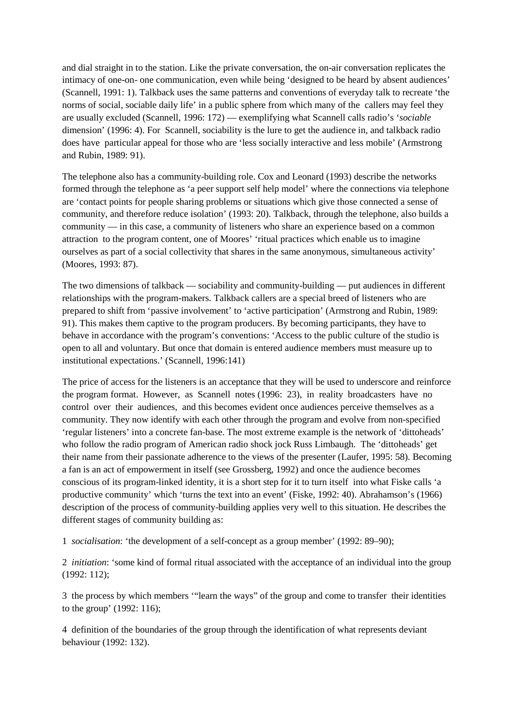and dial straight in to the station. Like the private conversation, the on-air conversation replicates the intimacy of one-on- one communication, even while being 'designed to be heard by absent audiences' (Scannell, 1991: 1). Talkback uses the same patterns and conventions of everyday talk to recreate 'the norms of social, sociable daily life' in a public sphere from which many of the callers may feel they are usually excluded (Scannell, 1996: 172) — exemplifying what Scannell calls radio's '*sociable*  dimension' (1996: 4). For Scannell, sociability is the lure to get the audience in, and talkback radio does have particular appeal for those who are 'less socially interactive and less mobile' (Armstrong and Rubin, 1989: 91).

The telephone also has a community-building role. Cox and Leonard (1993) describe the networks formed through the telephone as 'a peer support self help model' where the connections via telephone are 'contact points for people sharing problems or situations which give those connected a sense of community, and therefore reduce isolation' (1993: 20). Talkback, through the telephone, also builds a community — in this case, a community of listeners who share an experience based on a common attraction to the program content, one of Moores' 'ritual practices which enable us to imagine ourselves as part of a social collectivity that shares in the same anonymous, simultaneous activity' (Moores, 1993: 87).

The two dimensions of talkback — sociability and community-building — put audiences in different relationships with the program-makers. Talkback callers are a special breed of listeners who are prepared to shift from 'passive involvement' to 'active participation' (Armstrong and Rubin, 1989: 91). This makes them captive to the program producers. By becoming participants, they have to behave in accordance with the program's conventions: 'Access to the public culture of the studio is open to all and voluntary. But once that domain is entered audience members must measure up to institutional expectations.' (Scannell, 1996:141)

The price of access for the listeners is an acceptance that they will be used to underscore and reinforce the program format. However, as Scannell notes (1996: 23), in reality broadcasters have no control over their audiences, and this becomes evident once audiences perceive themselves as a community. They now identify with each other through the program and evolve from non-specified 'regular listeners' into a concrete fan-base. The most extreme example is the network of 'dittoheads' who follow the radio program of American radio shock jock Russ Limbaugh. The 'dittoheads' get their name from their passionate adherence to the views of the presenter (Laufer, 1995: 58). Becoming a fan is an act of empowerment in itself (see Grossberg, 1992) and once the audience becomes conscious of its program-linked identity, it is a short step for it to turn itself into what Fiske calls 'a productive community' which 'turns the text into an event' (Fiske, 1992: 40). Abrahamson's (1966) description of the process of community-building applies very well to this situation. He describes the different stages of community building as:

1 *socialisation*: 'the development of a self-concept as a group member' (1992: 89–90);

2 *initiation*: 'some kind of formal ritual associated with the acceptance of an individual into the group (1992: 112);

3 the process by which members '"learn the ways" of the group and come to transfer their identities to the group' (1992: 116);

4 definition of the boundaries of the group through the identification of what represents deviant behaviour (1992: 132).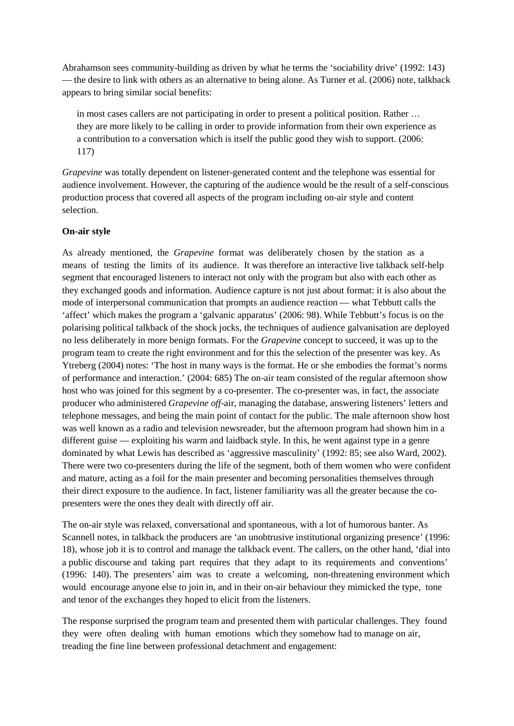Abrahamson sees community-building as driven by what he terms the 'sociability drive' (1992: 143) — the desire to link with others as an alternative to being alone. As Turner et al. (2006) note, talkback appears to bring similar social benefits:

in most cases callers are not participating in order to present a political position. Rather … they are more likely to be calling in order to provide information from their own experience as a contribution to a conversation which is itself the public good they wish to support. (2006: 117)

*Grapevine* was totally dependent on listener-generated content and the telephone was essential for audience involvement. However, the capturing of the audience would be the result of a self-conscious production process that covered all aspects of the program including on-air style and content selection.

#### **On-air style**

As already mentioned, the *Grapevine* format was deliberately chosen by the station as a means of testing the limits of its audience. It was therefore an interactive live talkback self-help segment that encouraged listeners to interact not only with the program but also with each other as they exchanged goods and information. Audience capture is not just about format: it is also about the mode of interpersonal communication that prompts an audience reaction — what Tebbutt calls the 'affect' which makes the program a 'galvanic apparatus' (2006: 98). While Tebbutt's focus is on the polarising political talkback of the shock jocks, the techniques of audience galvanisation are deployed no less deliberately in more benign formats. For the *Grapevine* concept to succeed, it was up to the program team to create the right environment and for this the selection of the presenter was key. As Ytreberg (2004) notes: 'The host in many ways is the format. He or she embodies the format's norms of performance and interaction.' (2004: 685) The on-air team consisted of the regular afternoon show host who was joined for this segment by a co-presenter. The co-presenter was, in fact, the associate producer who administered *Grapevine off*-air, managing the database, answering listeners' letters and telephone messages, and being the main point of contact for the public. The male afternoon show host was well known as a radio and television newsreader, but the afternoon program had shown him in a different guise — exploiting his warm and laidback style. In this, he went against type in a genre dominated by what Lewis has described as 'aggressive masculinity' (1992: 85; see also Ward, 2002). There were two co-presenters during the life of the segment, both of them women who were confident and mature, acting as a foil for the main presenter and becoming personalities themselves through their direct exposure to the audience. In fact, listener familiarity was all the greater because the copresenters were the ones they dealt with directly off air.

The on-air style was relaxed, conversational and spontaneous, with a lot of humorous banter. As Scannell notes, in talkback the producers are 'an unobtrusive institutional organizing presence' (1996: 18), whose job it is to control and manage the talkback event. The callers, on the other hand, 'dial into a public discourse and taking part requires that they adapt to its requirements and conventions' (1996: 140). The presenters' aim was to create a welcoming, non-threatening environment which would encourage anyone else to join in, and in their on-air behaviour they mimicked the type, tone and tenor of the exchanges they hoped to elicit from the listeners.

The response surprised the program team and presented them with particular challenges. They found they were often dealing with human emotions which they somehow had to manage on air, treading the fine line between professional detachment and engagement: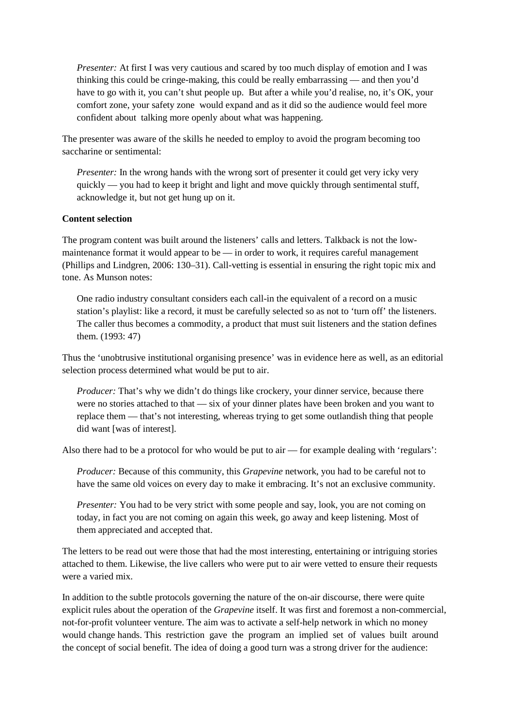*Presenter:* At first I was very cautious and scared by too much display of emotion and I was thinking this could be cringe-making, this could be really embarrassing — and then you'd have to go with it, you can't shut people up. But after a while you'd realise, no, it's OK, your comfort zone, your safety zone would expand and as it did so the audience would feel more confident about talking more openly about what was happening.

The presenter was aware of the skills he needed to employ to avoid the program becoming too saccharine or sentimental:

*Presenter:* In the wrong hands with the wrong sort of presenter it could get very icky very quickly — you had to keep it bright and light and move quickly through sentimental stuff, acknowledge it, but not get hung up on it.

#### **Content selection**

The program content was built around the listeners' calls and letters. Talkback is not the lowmaintenance format it would appear to be — in order to work, it requires careful management (Phillips and Lindgren, 2006: 130–31). Call-vetting is essential in ensuring the right topic mix and tone. As Munson notes:

One radio industry consultant considers each call-in the equivalent of a record on a music station's playlist: like a record, it must be carefully selected so as not to 'turn off' the listeners. The caller thus becomes a commodity, a product that must suit listeners and the station defines them. (1993: 47)

Thus the 'unobtrusive institutional organising presence' was in evidence here as well, as an editorial selection process determined what would be put to air.

*Producer:* That's why we didn't do things like crockery, your dinner service, because there were no stories attached to that — six of your dinner plates have been broken and you want to replace them — that's not interesting, whereas trying to get some outlandish thing that people did want [was of interest].

Also there had to be a protocol for who would be put to air — for example dealing with 'regulars':

*Producer:* Because of this community, this *Grapevine* network, you had to be careful not to have the same old voices on every day to make it embracing. It's not an exclusive community.

*Presenter:* You had to be very strict with some people and say, look, you are not coming on today, in fact you are not coming on again this week, go away and keep listening. Most of them appreciated and accepted that.

The letters to be read out were those that had the most interesting, entertaining or intriguing stories attached to them. Likewise, the live callers who were put to air were vetted to ensure their requests were a varied mix.

In addition to the subtle protocols governing the nature of the on-air discourse, there were quite explicit rules about the operation of the *Grapevine* itself. It was first and foremost a non-commercial, not-for-profit volunteer venture. The aim was to activate a self-help network in which no money would change hands. This restriction gave the program an implied set of values built around the concept of social benefit. The idea of doing a good turn was a strong driver for the audience: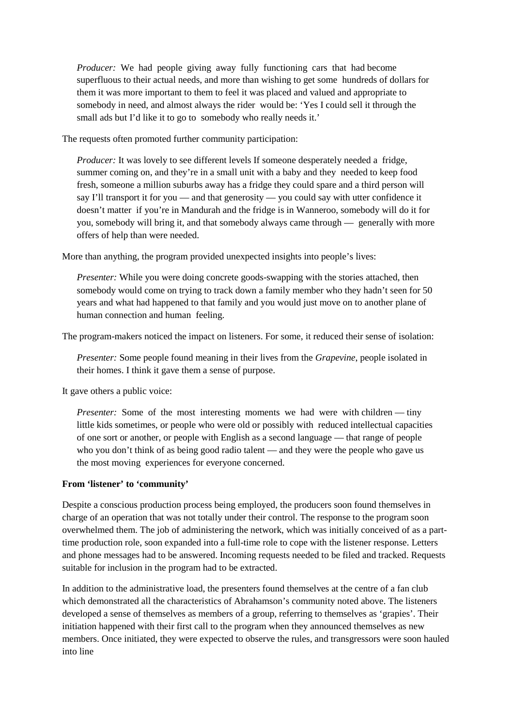*Producer:* We had people giving away fully functioning cars that had become superfluous to their actual needs, and more than wishing to get some hundreds of dollars for them it was more important to them to feel it was placed and valued and appropriate to somebody in need, and almost always the rider would be: 'Yes I could sell it through the small ads but I'd like it to go to somebody who really needs it.'

The requests often promoted further community participation:

*Producer:* It was lovely to see different levels If someone desperately needed a fridge, summer coming on, and they're in a small unit with a baby and they needed to keep food fresh, someone a million suburbs away has a fridge they could spare and a third person will say I'll transport it for you — and that generosity — you could say with utter confidence it doesn't matter if you're in Mandurah and the fridge is in Wanneroo, somebody will do it for you, somebody will bring it, and that somebody always came through — generally with more offers of help than were needed.

More than anything, the program provided unexpected insights into people's lives:

*Presenter:* While you were doing concrete goods-swapping with the stories attached, then somebody would come on trying to track down a family member who they hadn't seen for 50 years and what had happened to that family and you would just move on to another plane of human connection and human feeling.

The program-makers noticed the impact on listeners. For some, it reduced their sense of isolation:

*Presenter:* Some people found meaning in their lives from the *Grapevine*, people isolated in their homes. I think it gave them a sense of purpose.

It gave others a public voice:

*Presenter:* Some of the most interesting moments we had were with children — tiny little kids sometimes, or people who were old or possibly with reduced intellectual capacities of one sort or another, or people with English as a second language — that range of people who you don't think of as being good radio talent — and they were the people who gave us the most moving experiences for everyone concerned.

#### **From 'listener' to 'community'**

Despite a conscious production process being employed, the producers soon found themselves in charge of an operation that was not totally under their control. The response to the program soon overwhelmed them. The job of administering the network, which was initially conceived of as a parttime production role, soon expanded into a full-time role to cope with the listener response. Letters and phone messages had to be answered. Incoming requests needed to be filed and tracked. Requests suitable for inclusion in the program had to be extracted.

In addition to the administrative load, the presenters found themselves at the centre of a fan club which demonstrated all the characteristics of Abrahamson's community noted above. The listeners developed a sense of themselves as members of a group, referring to themselves as 'grapies'. Their initiation happened with their first call to the program when they announced themselves as new members. Once initiated, they were expected to observe the rules, and transgressors were soon hauled into line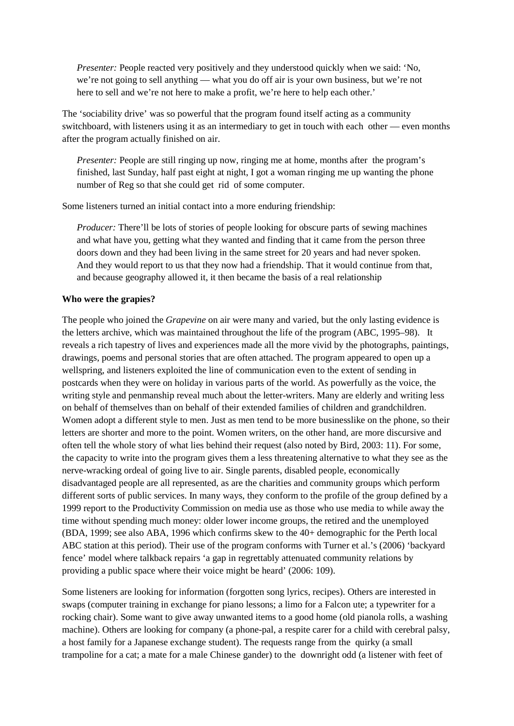*Presenter: People reacted very positively and they understood quickly when we said: 'No,* we're not going to sell anything — what you do off air is your own business, but we're not here to sell and we're not here to make a profit, we're here to help each other.'

The 'sociability drive' was so powerful that the program found itself acting as a community switchboard, with listeners using it as an intermediary to get in touch with each other — even months after the program actually finished on air.

*Presenter:* People are still ringing up now, ringing me at home, months after the program's finished, last Sunday, half past eight at night, I got a woman ringing me up wanting the phone number of Reg so that she could get rid of some computer.

Some listeners turned an initial contact into a more enduring friendship:

*Producer:* There'll be lots of stories of people looking for obscure parts of sewing machines and what have you, getting what they wanted and finding that it came from the person three doors down and they had been living in the same street for 20 years and had never spoken. And they would report to us that they now had a friendship. That it would continue from that, and because geography allowed it, it then became the basis of a real relationship

#### **Who were the grapies?**

The people who joined the *Grapevine* on air were many and varied, but the only lasting evidence is the letters archive, which was maintained throughout the life of the program (ABC, 1995–98). It reveals a rich tapestry of lives and experiences made all the more vivid by the photographs, paintings, drawings, poems and personal stories that are often attached. The program appeared to open up a wellspring, and listeners exploited the line of communication even to the extent of sending in postcards when they were on holiday in various parts of the world. As powerfully as the voice, the writing style and penmanship reveal much about the letter-writers. Many are elderly and writing less on behalf of themselves than on behalf of their extended families of children and grandchildren. Women adopt a different style to men. Just as men tend to be more businesslike on the phone, so their letters are shorter and more to the point. Women writers, on the other hand, are more discursive and often tell the whole story of what lies behind their request (also noted by Bird, 2003: 11). For some, the capacity to write into the program gives them a less threatening alternative to what they see as the nerve-wracking ordeal of going live to air. Single parents, disabled people, economically disadvantaged people are all represented, as are the charities and community groups which perform different sorts of public services. In many ways, they conform to the profile of the group defined by a 1999 report to the Productivity Commission on media use as those who use media to while away the time without spending much money: older lower income groups, the retired and the unemployed (BDA, 1999; see also ABA, 1996 which confirms skew to the 40+ demographic for the Perth local ABC station at this period). Their use of the program conforms with Turner et al.'s (2006) 'backyard fence' model where talkback repairs 'a gap in regrettably attenuated community relations by providing a public space where their voice might be heard' (2006: 109).

Some listeners are looking for information (forgotten song lyrics, recipes). Others are interested in swaps (computer training in exchange for piano lessons; a limo for a Falcon ute; a typewriter for a rocking chair). Some want to give away unwanted items to a good home (old pianola rolls, a washing machine). Others are looking for company (a phone-pal, a respite carer for a child with cerebral palsy, a host family for a Japanese exchange student). The requests range from the quirky (a small trampoline for a cat; a mate for a male Chinese gander) to the downright odd (a listener with feet of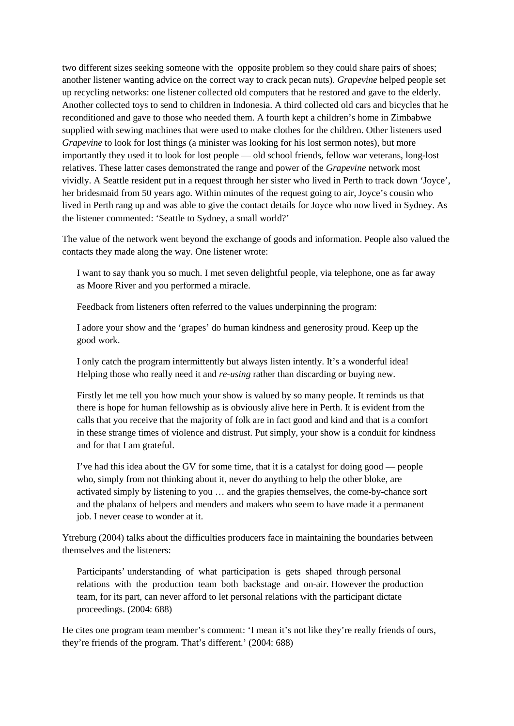two different sizes seeking someone with the opposite problem so they could share pairs of shoes; another listener wanting advice on the correct way to crack pecan nuts). *Grapevine* helped people set up recycling networks: one listener collected old computers that he restored and gave to the elderly. Another collected toys to send to children in Indonesia. A third collected old cars and bicycles that he reconditioned and gave to those who needed them. A fourth kept a children's home in Zimbabwe supplied with sewing machines that were used to make clothes for the children. Other listeners used *Grapevine* to look for lost things (a minister was looking for his lost sermon notes), but more importantly they used it to look for lost people — old school friends, fellow war veterans, long-lost relatives. These latter cases demonstrated the range and power of the *Grapevine* network most vividly. A Seattle resident put in a request through her sister who lived in Perth to track down 'Joyce', her bridesmaid from 50 years ago. Within minutes of the request going to air, Joyce's cousin who lived in Perth rang up and was able to give the contact details for Joyce who now lived in Sydney. As the listener commented: 'Seattle to Sydney, a small world?'

The value of the network went beyond the exchange of goods and information. People also valued the contacts they made along the way. One listener wrote:

I want to say thank you so much. I met seven delightful people, via telephone, one as far away as Moore River and you performed a miracle.

Feedback from listeners often referred to the values underpinning the program:

I adore your show and the 'grapes' do human kindness and generosity proud. Keep up the good work.

I only catch the program intermittently but always listen intently. It's a wonderful idea! Helping those who really need it and *re-using* rather than discarding or buying new.

Firstly let me tell you how much your show is valued by so many people. It reminds us that there is hope for human fellowship as is obviously alive here in Perth. It is evident from the calls that you receive that the majority of folk are in fact good and kind and that is a comfort in these strange times of violence and distrust. Put simply, your show is a conduit for kindness and for that I am grateful.

I've had this idea about the GV for some time, that it is a catalyst for doing good — people who, simply from not thinking about it, never do anything to help the other bloke, are activated simply by listening to you … and the grapies themselves, the come-by-chance sort and the phalanx of helpers and menders and makers who seem to have made it a permanent job. I never cease to wonder at it.

Ytreburg (2004) talks about the difficulties producers face in maintaining the boundaries between themselves and the listeners:

Participants' understanding of what participation is gets shaped through personal relations with the production team both backstage and on-air. However the production team, for its part, can never afford to let personal relations with the participant dictate proceedings. (2004: 688)

He cites one program team member's comment: 'I mean it's not like they're really friends of ours, they're friends of the program. That's different.' (2004: 688)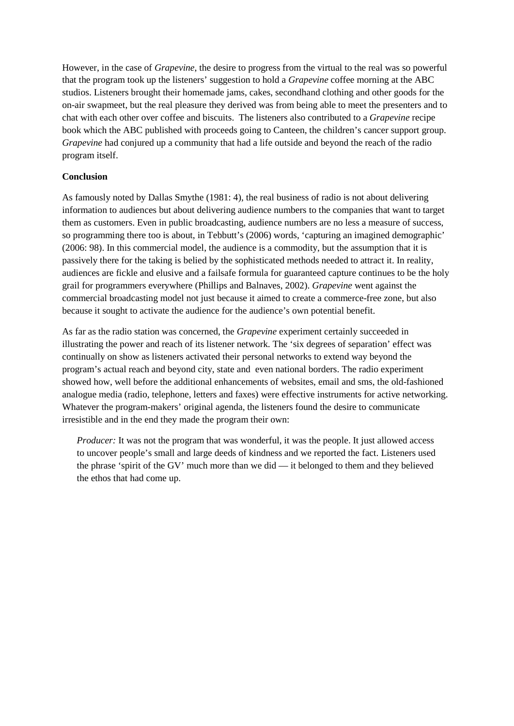However, in the case of *Grapevine*, the desire to progress from the virtual to the real was so powerful that the program took up the listeners' suggestion to hold a *Grapevine* coffee morning at the ABC studios. Listeners brought their homemade jams, cakes, secondhand clothing and other goods for the on-air swapmeet, but the real pleasure they derived was from being able to meet the presenters and to chat with each other over coffee and biscuits. The listeners also contributed to a *Grapevine* recipe book which the ABC published with proceeds going to Canteen, the children's cancer support group. *Grapevine* had conjured up a community that had a life outside and beyond the reach of the radio program itself.

# **Conclusion**

As famously noted by Dallas Smythe (1981: 4), the real business of radio is not about delivering information to audiences but about delivering audience numbers to the companies that want to target them as customers. Even in public broadcasting, audience numbers are no less a measure of success, so programming there too is about, in Tebbutt's (2006) words, 'capturing an imagined demographic' (2006: 98). In this commercial model, the audience is a commodity, but the assumption that it is passively there for the taking is belied by the sophisticated methods needed to attract it. In reality, audiences are fickle and elusive and a failsafe formula for guaranteed capture continues to be the holy grail for programmers everywhere (Phillips and Balnaves, 2002). *Grapevine* went against the commercial broadcasting model not just because it aimed to create a commerce-free zone, but also because it sought to activate the audience for the audience's own potential benefit.

As far as the radio station was concerned, the *Grapevine* experiment certainly succeeded in illustrating the power and reach of its listener network. The 'six degrees of separation' effect was continually on show as listeners activated their personal networks to extend way beyond the program's actual reach and beyond city, state and even national borders. The radio experiment showed how, well before the additional enhancements of websites, email and sms, the old-fashioned analogue media (radio, telephone, letters and faxes) were effective instruments for active networking. Whatever the program-makers' original agenda, the listeners found the desire to communicate irresistible and in the end they made the program their own:

*Producer:* It was not the program that was wonderful, it was the people. It just allowed access to uncover people's small and large deeds of kindness and we reported the fact. Listeners used the phrase 'spirit of the GV' much more than we did — it belonged to them and they believed the ethos that had come up.